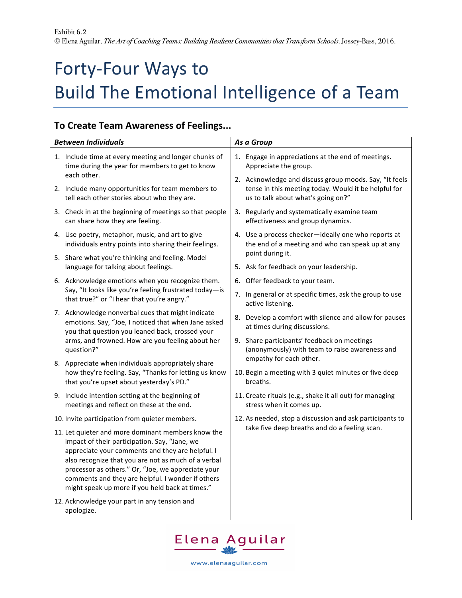## Forty-Four Ways to Build The Emotional Intelligence of a Team

## **To Create Team Awareness of Feelings...**

| <b>Between Individuals</b>                                                                                                                                                                                                                                                                                                                                                   | As a Group                                                                                                                                           |  |
|------------------------------------------------------------------------------------------------------------------------------------------------------------------------------------------------------------------------------------------------------------------------------------------------------------------------------------------------------------------------------|------------------------------------------------------------------------------------------------------------------------------------------------------|--|
| 1. Include time at every meeting and longer chunks of<br>time during the year for members to get to know                                                                                                                                                                                                                                                                     | 1. Engage in appreciations at the end of meetings.<br>Appreciate the group.                                                                          |  |
| each other.<br>2. Include many opportunities for team members to<br>tell each other stories about who they are.                                                                                                                                                                                                                                                              | 2. Acknowledge and discuss group moods. Say, "It feels<br>tense in this meeting today. Would it be helpful for<br>us to talk about what's going on?" |  |
| 3. Check in at the beginning of meetings so that people<br>can share how they are feeling.                                                                                                                                                                                                                                                                                   | 3. Regularly and systematically examine team<br>effectiveness and group dynamics.                                                                    |  |
| 4. Use poetry, metaphor, music, and art to give<br>individuals entry points into sharing their feelings.                                                                                                                                                                                                                                                                     | 4. Use a process checker-ideally one who reports at<br>the end of a meeting and who can speak up at any                                              |  |
| 5. Share what you're thinking and feeling. Model<br>language for talking about feelings.                                                                                                                                                                                                                                                                                     | point during it.<br>5. Ask for feedback on your leadership.                                                                                          |  |
| 6. Acknowledge emotions when you recognize them.                                                                                                                                                                                                                                                                                                                             | 6. Offer feedback to your team.                                                                                                                      |  |
| Say, "It looks like you're feeling frustrated today-is<br>that true?" or "I hear that you're angry."                                                                                                                                                                                                                                                                         | 7. In general or at specific times, ask the group to use<br>active listening.                                                                        |  |
| 7. Acknowledge nonverbal cues that might indicate<br>emotions. Say, "Joe, I noticed that when Jane asked<br>you that question you leaned back, crossed your                                                                                                                                                                                                                  | 8. Develop a comfort with silence and allow for pauses<br>at times during discussions.                                                               |  |
| arms, and frowned. How are you feeling about her<br>question?"                                                                                                                                                                                                                                                                                                               | 9. Share participants' feedback on meetings<br>(anonymously) with team to raise awareness and<br>empathy for each other.                             |  |
| 8. Appreciate when individuals appropriately share<br>how they're feeling. Say, "Thanks for letting us know<br>that you're upset about yesterday's PD."                                                                                                                                                                                                                      | 10. Begin a meeting with 3 quiet minutes or five deep<br>breaths.                                                                                    |  |
| 9. Include intention setting at the beginning of<br>meetings and reflect on these at the end.                                                                                                                                                                                                                                                                                | 11. Create rituals (e.g., shake it all out) for managing<br>stress when it comes up.                                                                 |  |
| 10. Invite participation from quieter members.                                                                                                                                                                                                                                                                                                                               | 12. As needed, stop a discussion and ask participants to<br>take five deep breaths and do a feeling scan.                                            |  |
| 11. Let quieter and more dominant members know the<br>impact of their participation. Say, "Jane, we<br>appreciate your comments and they are helpful. I<br>also recognize that you are not as much of a verbal<br>processor as others." Or, "Joe, we appreciate your<br>comments and they are helpful. I wonder if others<br>might speak up more if you held back at times." |                                                                                                                                                      |  |
| 12. Acknowledge your part in any tension and<br>apologize.                                                                                                                                                                                                                                                                                                                   |                                                                                                                                                      |  |



www.elenaaguilar.com